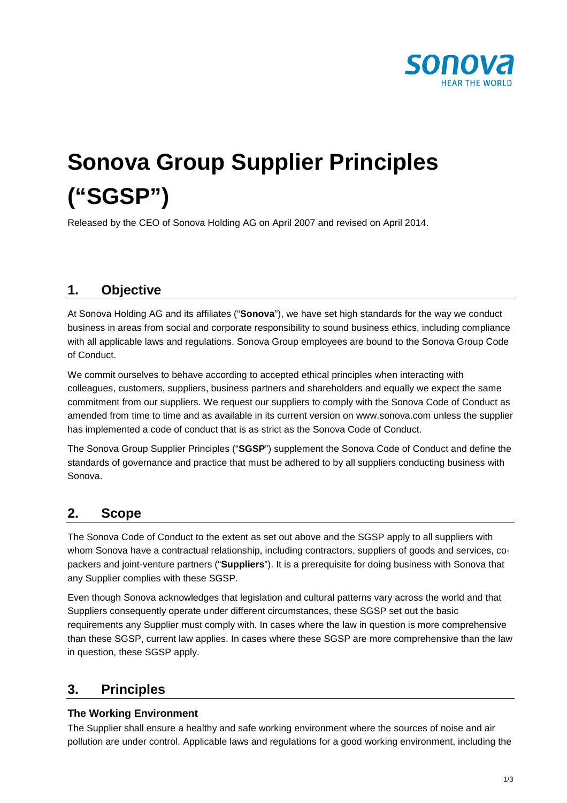

# **Sonova Group Supplier Principles ("SGSP")**

Released by the CEO of Sonova Holding AG on April 2007 and revised on April 2014.

## **1. Objective**

At Sonova Holding AG and its affiliates ("**Sonova**"), we have set high standards for the way we conduct business in areas from social and corporate responsibility to sound business ethics, including compliance with all applicable laws and regulations. Sonova Group employees are bound to the Sonova Group Code of Conduct.

We commit ourselves to behave according to accepted ethical principles when interacting with colleagues, customers, suppliers, business partners and shareholders and equally we expect the same commitment from our suppliers. We request our suppliers to comply with the Sonova Code of Conduct as amended from time to time and as available in its current version on www.sonova.com unless the supplier has implemented a code of conduct that is as strict as the Sonova Code of Conduct.

The Sonova Group Supplier Principles ("**SGSP**") supplement the Sonova Code of Conduct and define the standards of governance and practice that must be adhered to by all suppliers conducting business with Sonova.

### **2. Scope**

The Sonova Code of Conduct to the extent as set out above and the SGSP apply to all suppliers with whom Sonova have a contractual relationship, including contractors, suppliers of goods and services, copackers and joint-venture partners ("**Suppliers**"). It is a prerequisite for doing business with Sonova that any Supplier complies with these SGSP.

Even though Sonova acknowledges that legislation and cultural patterns vary across the world and that Suppliers consequently operate under different circumstances, these SGSP set out the basic requirements any Supplier must comply with. In cases where the law in question is more comprehensive than these SGSP, current law applies. In cases where these SGSP are more comprehensive than the law in question, these SGSP apply.

## **3. Principles**

#### **The Working Environment**

The Supplier shall ensure a healthy and safe working environment where the sources of noise and air pollution are under control. Applicable laws and regulations for a good working environment, including the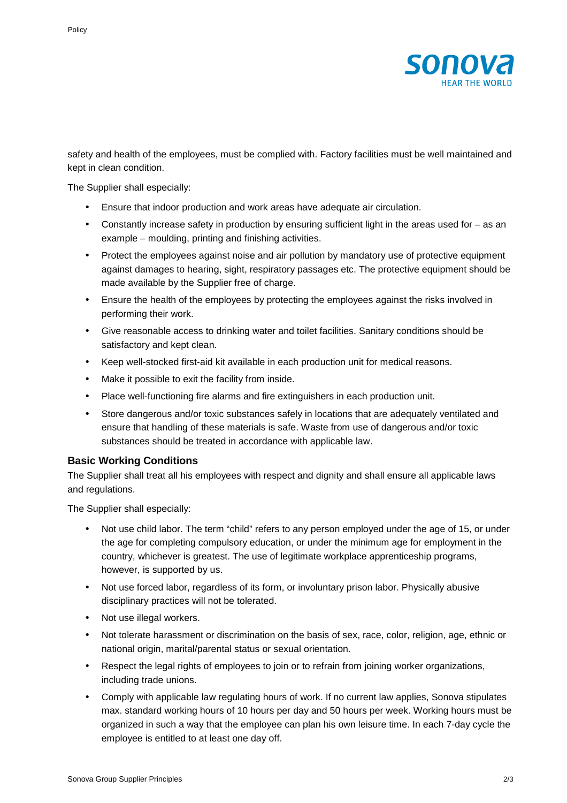

safety and health of the employees, must be complied with. Factory facilities must be well maintained and kept in clean condition.

The Supplier shall especially:

- Ensure that indoor production and work areas have adequate air circulation.
- Constantly increase safety in production by ensuring sufficient light in the areas used for as an example – moulding, printing and finishing activities.
- Protect the employees against noise and air pollution by mandatory use of protective equipment against damages to hearing, sight, respiratory passages etc. The protective equipment should be made available by the Supplier free of charge.
- Ensure the health of the employees by protecting the employees against the risks involved in performing their work.
- Give reasonable access to drinking water and toilet facilities. Sanitary conditions should be satisfactory and kept clean.
- Keep well-stocked first-aid kit available in each production unit for medical reasons.
- Make it possible to exit the facility from inside.
- Place well-functioning fire alarms and fire extinguishers in each production unit.
- Store dangerous and/or toxic substances safely in locations that are adequately ventilated and ensure that handling of these materials is safe. Waste from use of dangerous and/or toxic substances should be treated in accordance with applicable law.

#### **Basic Working Conditions**

The Supplier shall treat all his employees with respect and dignity and shall ensure all applicable laws and regulations.

The Supplier shall especially:

- Not use child labor. The term "child" refers to any person employed under the age of 15, or under the age for completing compulsory education, or under the minimum age for employment in the country, whichever is greatest. The use of legitimate workplace apprenticeship programs, however, is supported by us.
- Not use forced labor, regardless of its form, or involuntary prison labor. Physically abusive disciplinary practices will not be tolerated.
- Not use illegal workers.
- Not tolerate harassment or discrimination on the basis of sex, race, color, religion, age, ethnic or national origin, marital/parental status or sexual orientation.
- Respect the legal rights of employees to join or to refrain from joining worker organizations, including trade unions.
- Comply with applicable law regulating hours of work. If no current law applies, Sonova stipulates max. standard working hours of 10 hours per day and 50 hours per week. Working hours must be organized in such a way that the employee can plan his own leisure time. In each 7-day cycle the employee is entitled to at least one day off.